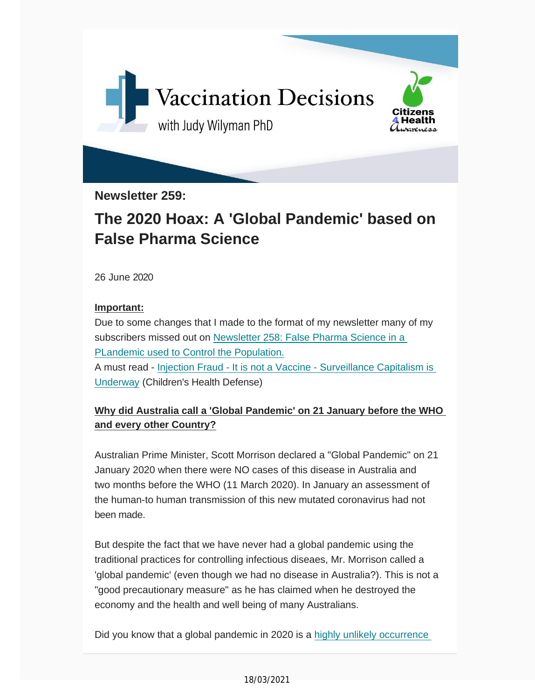

**Newsletter 259:**

## **The 2020 Hoax: A 'Global Pandemic' based on False Pharma Science**

26 June 2020

#### **Important:**

Due to some changes that I made to the format of my newsletter many of my subscribers missed out on Newsletter 258: False Pharma [Science](https://vaccinationdecisions.us8.list-manage.com/track/click?u=f20605fde3732e41929f4a3f2&id=62a3bc2f63&e=6b3f8c9022) in a PLandemic used to Control the [Population.](https://vaccinationdecisions.us8.list-manage.com/track/click?u=f20605fde3732e41929f4a3f2&id=62a3bc2f63&e=6b3f8c9022) A must read - Injection Fraud - It is not a Vaccine - [Surveillance](https://vaccinationdecisions.us8.list-manage.com/track/click?u=f20605fde3732e41929f4a3f2&id=059ad3b5ab&e=6b3f8c9022) Capitalism is [Underway](https://vaccinationdecisions.us8.list-manage.com/track/click?u=f20605fde3732e41929f4a3f2&id=059ad3b5ab&e=6b3f8c9022) (Children's Health Defense)

### **Why did Australia call a 'Global Pandemic' on 21 January before the WHO and every other Country?**

Australian Prime Minister, Scott Morrison declared a "Global Pandemic" on 21 January 2020 when there were NO cases of this disease in Australia and two months before the WHO (11 March 2020). In January an assessment of the human-to human transmission of this new mutated coronavirus had not been made.

But despite the fact that we have never had a global pandemic using the traditional practices for controlling infectious diseaes, Mr. Morrison called a 'global pandemic' (even though we had no disease in Australia?). This is not a "good precautionary measure" as he has claimed when he destroyed the economy and the health and well being of many Australians.

Did you know that a global pandemic in 2020 is a highly unlikely occurrence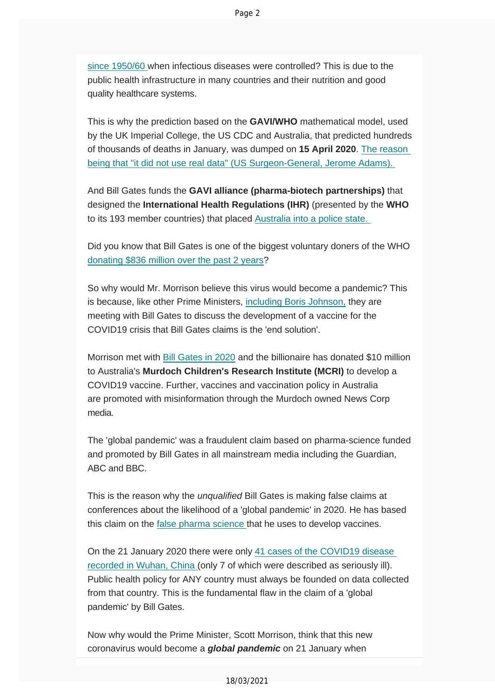since 1950/60 when infectious diseases were controlled? This is due to the public health infrastructure in many countries and their nutrition and good quality healthcare systems.

This is why the prediction based on the **GAVI/WHO** mathematical model, used by the UK Imperial College, the US CDC and Australia, that predicted hu[ndreds](https://vaccinationdecisions.us8.list-manage.com/track/click?u=f20605fde3732e41929f4a3f2&id=087186b24c&e=6b3f8c9022) [of thousands of deaths in January, was dumped on](https://vaccinationdecisions.us8.list-manage.com/track/click?u=f20605fde3732e41929f4a3f2&id=087186b24c&e=6b3f8c9022) **15 April 2020**. The reason being that "it did not use real data" (US Surgeon-General, Jerome Adams).

And Bill Gates funds the **GAVI alliance (pharma-biotech partnerships)** that designed the **International Health Regulations (IHR)** [\(presented by the](https://vaccinationdecisions.us8.list-manage.com/track/click?u=f20605fde3732e41929f4a3f2&id=eaeab3882d&e=6b3f8c9022) **WHO** to its 193 member countries) that placed Australia into a police state.

[Did you know that Bill Gates is one of the bigges](https://vaccinationdecisions.us8.list-manage.com/track/click?u=f20605fde3732e41929f4a3f2&id=bece914cda&e=6b3f8c9022)t voluntary doners of the WHO donating \$836 million over the past 2 years?

So why would Mr. Morrison believe this virus would become a pandemic? This is because, like other Prime Ministers, incl[uding Boris Johnson,](https://vaccinationdecisions.us8.list-manage.com/track/click?u=f20605fde3732e41929f4a3f2&id=160aa00778&e=6b3f8c9022) they are meeting with Bill Gates to discuss the development of a vaccine for the COVID19 crisis that Bill Gates claims is the 'end solution'.

Morrison met with Bi[ll Gates in 2020](https://vaccinationdecisions.us8.list-manage.com/track/click?u=f20605fde3732e41929f4a3f2&id=f3c295b0df&e=6b3f8c9022) and the billionaire has donated \$10 million to Australia's **Murdoch Children's Research Institute (MCRI)** to develop a COVID19 vaccine. Further, vaccines and vaccination policy in Australia are promoted with misinformation through the Murdoch owned News Corp media.

The 'global pandemic' was a fraudulent claim based on pharma-science funded and promoted by Bill Gates in all mainstream media including the Guardian, ABC and BBC.

This is the reason why the *unqualified* Bill Gates is making false claims at conferences about the likelihood of a 'global pandemic' in 2020. He has based this claim on the false pharma science that he uses to develop vaccines.

On the 21 January 2020 there were only 41 cases of the COVID19 disease recorded in Wuhan, China (only 7 of which w[ere described as seriously ill\).](https://vaccinationdecisions.us8.list-manage.com/track/click?u=f20605fde3732e41929f4a3f2&id=69268e8bce&e=6b3f8c9022)  [Public health policy for ANY co](https://vaccinationdecisions.us8.list-manage.com/track/click?u=f20605fde3732e41929f4a3f2&id=69268e8bce&e=6b3f8c9022)untry must always be founded on data collected from that country. This is the fundamental flaw in the claim of a 'global pandemic' by Bill Gates.

Now why would the Prime Minister, Scott Morrison, think that this new coronavirus would become a *global pandemic* on 21 January when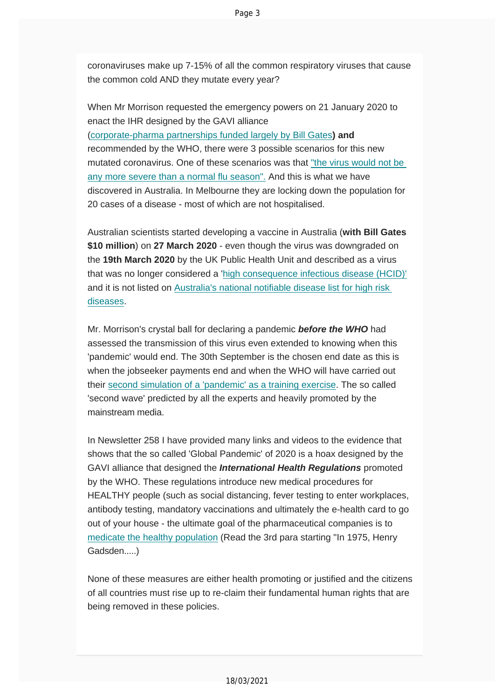coronaviruses make up 7-15% of all the common respiratory viruses that cause the common cold AND they mutate every year?

When Mr Morrison requested the emergency powers on 21 January 2020 to enact the IHR [designed](https://vaccinationdecisions.us8.list-manage.com/track/click?u=f20605fde3732e41929f4a3f2&id=9189df5265&e=6b3f8c9022) by the GAVI alliance (corporate-pharma partnerships funded largely by Bill Gates**) and** recommended by the WHO, there were 3 possible scenarios for this [new](https://vaccinationdecisions.us8.list-manage.com/track/click?u=f20605fde3732e41929f4a3f2&id=de62a06c9c&e=6b3f8c9022) mutated [coronavirus.](https://vaccinationdecisions.us8.list-manage.com/track/click?u=f20605fde3732e41929f4a3f2&id=de62a06c9c&e=6b3f8c9022) One of these scenarios was that "the virus would not be any more severe than a normal flu season". And this is what we have discovered in Australia. In Melbourne they are locking down the population for 20 cases of a disease - most of which are not hospitalised.

Australian scientists started developing a vaccine in Australia (**with Bill Gates \$10 million**) on **27 March 2020** - even though the virus was downgraded on the **19th March 2020** by the UK Public Health Unit and described as a virus that was no longer considered a 'high [consequence](https://vaccinationdecisions.us8.list-manage.com/track/click?u=f20605fde3732e41929f4a3f2&id=e54e238b94&e=6b3f8c9022) infectious disease (HCID)' and it is not listed on Australia's national [notifiable](https://vaccinationdecisions.us8.list-manage.com/track/click?u=f20605fde3732e41929f4a3f2&id=169ffe92e7&e=6b3f8c9022) disease list for high risk [diseases.](https://vaccinationdecisions.us8.list-manage.com/track/click?u=f20605fde3732e41929f4a3f2&id=169ffe92e7&e=6b3f8c9022)

Mr. Morrison's crystal ball for declaring a pandemic *before the WHO* had assessed the transmission of this virus even extended to knowing when this 'pandemic' would end. The 30th September is the chosen end date as this is when the jobseeker payments end and when the WHO will have carried out their second simulation of a ['pandemic'](https://vaccinationdecisions.us8.list-manage.com/track/click?u=f20605fde3732e41929f4a3f2&id=5645d315a2&e=6b3f8c9022) as a training exercise. The so called 'second wave' predicted by all the experts and heavily promoted by the mainstream media.

In Newsletter 258 I have provided many links and videos to the evidence that shows that the so called 'Global Pandemic' of 2020 is a hoax designed by the GAVI alliance that designed the *International Health Regulations* promoted by the WHO. These regulations introduce new medical procedures for HEALTHY people (such as social distancing, fever testing to enter workplaces, antibody testing, mandatory vaccinations and ultimately the e-health card to go out of your house - the ultimate goal of the pharmaceutical companies is to medicate the healthy population (Read the 3rd para starting "In 1975, Henry [Gadsden.....\)](https://vaccinationdecisions.us8.list-manage.com/track/click?u=f20605fde3732e41929f4a3f2&id=3d67c75db6&e=6b3f8c9022)

None of these measures are either health promoting or justified and the citizens of all countries must rise up to re-claim their fundamental human rights that are being removed in these policies.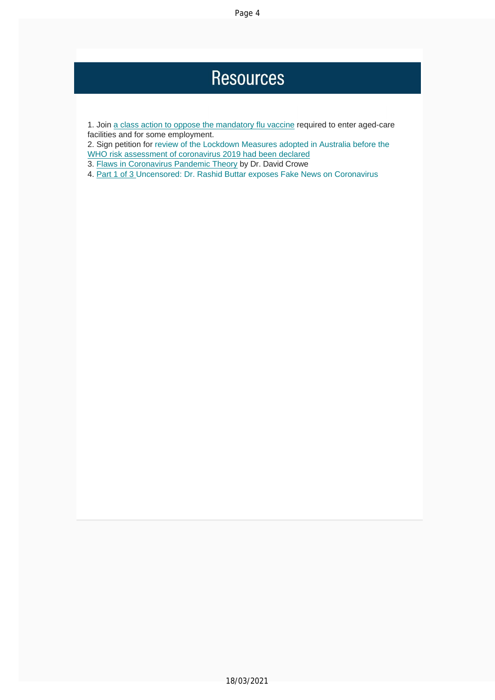## **Resources**

1. Join a class action to oppose the mandatory flu vaccine required to enter aged-care facilities and for some employment.

2. Sign petition for review of the Lockdown Measures adopted in Australia before the WHO risk assessment of coronavirus 2019 had been declared

3. Flaws in Coronavirus Pandemic Theory by Dr. David Crowe

4. Part 1 of 3 Uncensored: Dr. Rashid Buttar exposes Fake News on Coronavirus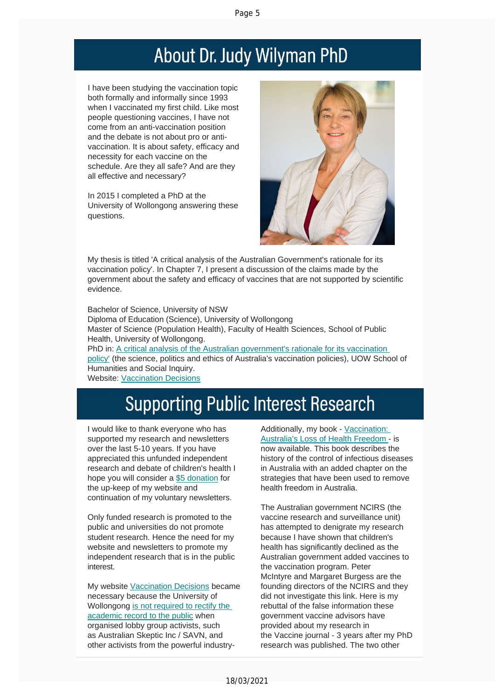# About Dr. Judy Wilyman PhD

I have been studying the vaccination topic both formally and informally since 1993 when I vaccinated my first child. Like most people questioning vaccines, I have not come from an anti-vaccination position and the debate is not about pro or antivaccination. It is about safety, efficacy and necessity for each vaccine on the schedule. Are they all safe? And are they all effective and necessary?

In 2015 I completed a PhD at the University of Wollongong answering these questions.



My thesis is titled 'A critical analysis of the Australian Government's rationale for its vaccination policy'. In Chapter 7, I present a discussion of the claims made by the government about the safety and efficacy of vaccines that are not supported by scientific evidence.

Bachelor of Science, University of NSW Diploma of Education (Science), University of Wollongong Master of Science (Population Health), Faculty of Health Sciences, School of Public Health, University of Wollongong. PhD in: A critical analysis of the Australian [government's](https://vaccinationdecisions.us8.list-manage.com/track/click?u=f20605fde3732e41929f4a3f2&id=8d06509a86&e=6b3f8c9022) rationale for its vaccination [policy'](https://vaccinationdecisions.us8.list-manage.com/track/click?u=f20605fde3732e41929f4a3f2&id=8d06509a86&e=6b3f8c9022) (the science, politics and ethics of Australia's vaccination policies), UOW School of Humanities and Social Inquiry. Website: V[accination](https://vaccinationdecisions.us8.list-manage.com/track/click?u=f20605fde3732e41929f4a3f2&id=8f9f2283c6&e=6b3f8c9022) Decisions

# **Supporting Public Interest Research**

I would like to thank everyone who has supported my research and newsletters over the last 5-10 years. If you have appreciated this unfunded independent research and debate of children's health I hope you will consider a \$5 donation for the up-keep of my website [and](https://vaccinationdecisions.us8.list-manage.com/track/click?u=f20605fde3732e41929f4a3f2&id=bdc5fa7a5d&e=6b3f8c9022) continuation of my voluntary newsletters.

Only funded research is promoted to the public and universities do not promote student research. Hence the need for my website and newsletters to promote my independent research that is in the public interest.

My website Vaccination Decisions became necessary because the University of Wollongong is not [required](https://vaccinationdecisions.us8.list-manage.com/track/click?u=f20605fde3732e41929f4a3f2&id=180fd9f1b5&e=6b3f8c9022) to rectify the academic record to the public when organised lobby group [activists,](https://vaccinationdecisions.us8.list-manage.com/track/click?u=f20605fde3732e41929f4a3f2&id=7541634a99&e=6b3f8c9022) such as [Australian](https://vaccinationdecisions.us8.list-manage.com/track/click?u=f20605fde3732e41929f4a3f2&id=7541634a99&e=6b3f8c9022) Skeptic Inc / SAVN, and other activists from the powerful industryAdditionally, my book - Vaccination: Australia's Loss of Health Fre[edom](https://vaccinationdecisions.us8.list-manage.com/track/click?u=f20605fde3732e41929f4a3f2&id=fce86c782c&e=6b3f8c9022) - is now available. This book [describes](https://vaccinationdecisions.us8.list-manage.com/track/click?u=f20605fde3732e41929f4a3f2&id=fce86c782c&e=6b3f8c9022) the history of the control of infectious diseases in Australia with an added chapter on the strategies that have been used to remove health freedom in Australia.

The Australian government NCIRS (the vaccine research and surveillance unit) has attempted to denigrate my research because I have shown that children's health has significantly declined as the Australian government added vaccines to the vaccination program. Peter McIntyre and Margaret Burgess are the founding directors of the NCIRS and they did not investigate this link. Here is my rebuttal of the false information these government vaccine advisors have provided about my research in the Vaccine journal - 3 years after my PhD research was published. The two other